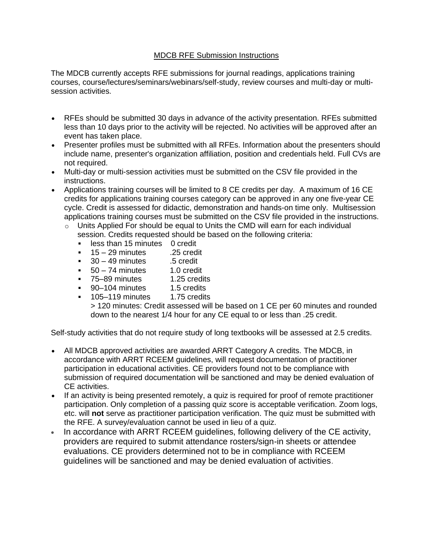### MDCB RFE Submission Instructions

The MDCB currently accepts RFE submissions for journal readings, applications training courses, course/lectures/seminars/webinars/self-study, review courses and multi-day or multisession activities.

- RFEs should be submitted 30 days in advance of the activity presentation. RFEs submitted less than 10 days prior to the activity will be rejected. No activities will be approved after an event has taken place.
- Presenter profiles must be submitted with all RFEs. Information about the presenters should include name, presenter's organization affiliation, position and credentials held. Full CVs are not required.
- Multi-day or multi-session activities must be submitted on the CSV file provided in the instructions.
- Applications training courses will be limited to 8 CE credits per day. A maximum of 16 CE credits for applications training courses category can be approved in any one five-year CE cycle. Credit is assessed for didactic, demonstration and hands-on time only. Multisession applications training courses must be submitted on the CSV file provided in the instructions.
	- $\circ$  Units Applied For should be equal to Units the CMD will earn for each individual session. Credits requested should be based on the following criteria:
		- **EXELO:** less than 15 minutes 0 credit
		- $15 29$  minutes .25 credit
		- $30 49$  minutes  $.5$  credit
		- 50 74 minutes 1.0 credit
		- 75–89 minutes 1.25 credits<br>■ 90–104 minutes 1.5 credits
		- 90–104 minutes 1.5 credits
		- 105–119 minutes 1.75 credits

> 120 minutes: Credit assessed will be based on 1 CE per 60 minutes and rounded down to the nearest 1/4 hour for any CE equal to or less than .25 credit.

Self-study activities that do not require study of long textbooks will be assessed at 2.5 credits.

- All MDCB approved activities are awarded ARRT Category A credits. The MDCB, in accordance with ARRT RCEEM guidelines, will request documentation of practitioner participation in educational activities. CE providers found not to be compliance with submission of required documentation will be sanctioned and may be denied evaluation of CE activities.
- If an activity is being presented remotely, a quiz is required for proof of remote practitioner participation. Only completion of a passing quiz score is acceptable verification. Zoom logs, etc. will **not** serve as practitioner participation verification. The quiz must be submitted with the RFE. A survey/evaluation cannot be used in lieu of a quiz.
- In accordance with ARRT RCEEM guidelines, following delivery of the CE activity, providers are required to submit attendance rosters/sign-in sheets or attendee evaluations. CE providers determined not to be in compliance with RCEEM guidelines will be sanctioned and may be denied evaluation of activities.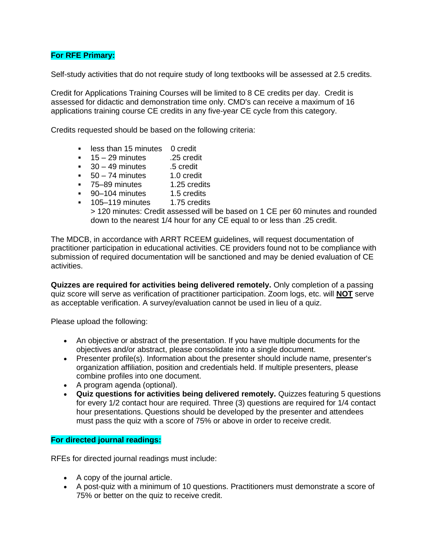# **For RFE Primary:**

Self-study activities that do not require study of long textbooks will be assessed at 2.5 credits.

Credit for Applications Training Courses will be limited to 8 CE credits per day. Credit is assessed for didactic and demonstration time only. CMD's can receive a maximum of 16 applications training course CE credits in any five-year CE cycle from this category.

Credits requested should be based on the following criteria:

- **EXE** less than 15 minutes 0 credit
- $\blacksquare$  15 29 minutes .25 credit
- 
- 30 49 minutes 5 credit<br>■ 50 74 minutes 1.0 credit  $\overline{50 - 74}$  minutes
- 75–89 minutes 1.25 credits
- 90–104 minutes 1.5 credits
- **105–119 minutes** 1.75 credits

> 120 minutes: Credit assessed will be based on 1 CE per 60 minutes and rounded down to the nearest 1/4 hour for any CE equal to or less than .25 credit.

The MDCB, in accordance with ARRT RCEEM guidelines, will request documentation of practitioner participation in educational activities. CE providers found not to be compliance with submission of required documentation will be sanctioned and may be denied evaluation of CE activities.

**Quizzes are required for activities being delivered remotely.** Only completion of a passing quiz score will serve as verification of practitioner participation. Zoom logs, etc. will **NOT** serve as acceptable verification. A survey/evaluation cannot be used in lieu of a quiz.

Please upload the following:

- An objective or abstract of the presentation. If you have multiple documents for the objectives and/or abstract, please consolidate into a single document.
- Presenter profile(s). Information about the presenter should include name, presenter's organization affiliation, position and credentials held. If multiple presenters, please combine profiles into one document.
- A program agenda (optional).
- **Quiz questions for activities being delivered remotely.** Quizzes featuring 5 questions for every 1/2 contact hour are required. Three (3) questions are required for 1/4 contact hour presentations. Questions should be developed by the presenter and attendees must pass the quiz with a score of 75% or above in order to receive credit.

### **For directed journal readings:**

RFEs for directed journal readings must include:

- A copy of the journal article.
- A post-quiz with a minimum of 10 questions. Practitioners must demonstrate a score of 75% or better on the quiz to receive credit.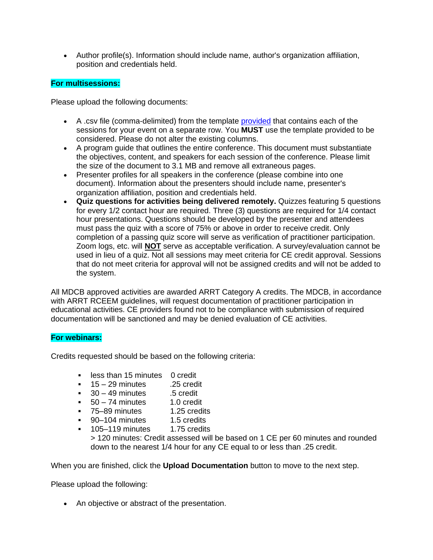• Author profile(s). Information should include name, author's organization affiliation, position and credentials held.

# **For multisessions:**

Please upload the following documents:

- A .csv file (comma-delimited) from the template [provided](http://mdcb.learningbuilder.com/content/templates/activity_upload_template.csv) that contains each of the sessions for your event on a separate row. You **MUST** use the template provided to be considered. Please do not alter the existing columns.
- A program guide that outlines the entire conference. This document must substantiate the objectives, content, and speakers for each session of the conference. Please limit the size of the document to 3.1 MB and remove all extraneous pages.
- Presenter profiles for all speakers in the conference (please combine into one document). Information about the presenters should include name, presenter's organization affiliation, position and credentials held.
- **Quiz questions for activities being delivered remotely.** Quizzes featuring 5 questions for every 1/2 contact hour are required. Three (3) questions are required for 1/4 contact hour presentations. Questions should be developed by the presenter and attendees must pass the quiz with a score of 75% or above in order to receive credit. Only completion of a passing quiz score will serve as verification of practitioner participation. Zoom logs, etc. will **NOT** serve as acceptable verification. A survey/evaluation cannot be used in lieu of a quiz. Not all sessions may meet criteria for CE credit approval. Sessions that do not meet criteria for approval will not be assigned credits and will not be added to the system.

All MDCB approved activities are awarded ARRT Category A credits. The MDCB, in accordance with ARRT RCEEM guidelines, will request documentation of practitioner participation in educational activities. CE providers found not to be compliance with submission of required documentation will be sanctioned and may be denied evaluation of CE activities.

#### **For webinars:**

Credits requested should be based on the following criteria:

- less than 15 minutes 0 credit
- $15 29$  minutes .25 credit
- $\bullet$  30 49 minutes .5 credit
- $\overline{50} 74$  minutes  $\overline{10}$  credit
- 75–89 minutes 1.25 credits
- 90–104 minutes 1.5 credits
- 105–119 minutes 1.75 credits

> 120 minutes: Credit assessed will be based on 1 CE per 60 minutes and rounded down to the nearest 1/4 hour for any CE equal to or less than .25 credit.

When you are finished, click the **Upload Documentation** button to move to the next step.

Please upload the following:

• An objective or abstract of the presentation.